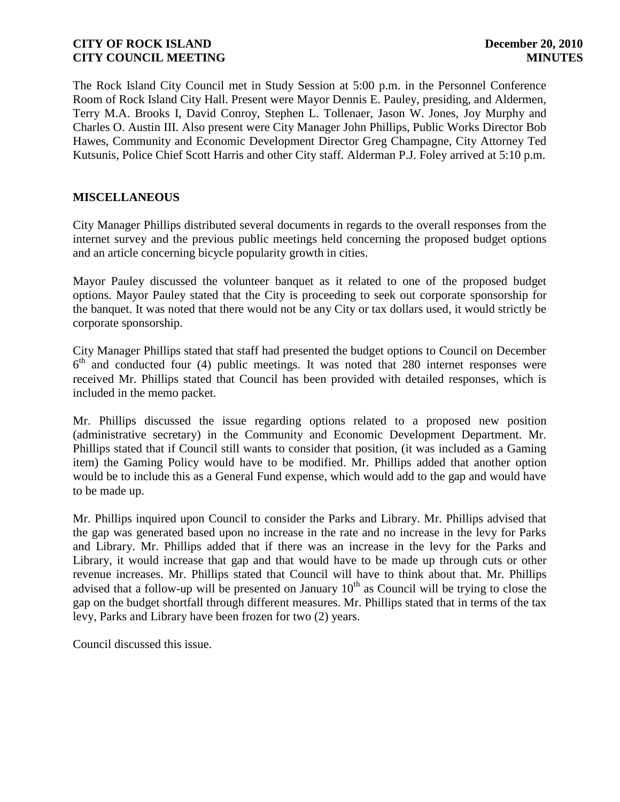The Rock Island City Council met in Study Session at 5:00 p.m. in the Personnel Conference Room of Rock Island City Hall. Present were Mayor Dennis E. Pauley, presiding, and Aldermen, Terry M.A. Brooks I, David Conroy, Stephen L. Tollenaer, Jason W. Jones, Joy Murphy and Charles O. Austin III. Also present were City Manager John Phillips, Public Works Director Bob Hawes, Community and Economic Development Director Greg Champagne, City Attorney Ted Kutsunis, Police Chief Scott Harris and other City staff. Alderman P.J. Foley arrived at 5:10 p.m.

# **MISCELLANEOUS**

City Manager Phillips distributed several documents in regards to the overall responses from the internet survey and the previous public meetings held concerning the proposed budget options and an article concerning bicycle popularity growth in cities.

Mayor Pauley discussed the volunteer banquet as it related to one of the proposed budget options. Mayor Pauley stated that the City is proceeding to seek out corporate sponsorship for the banquet. It was noted that there would not be any City or tax dollars used, it would strictly be corporate sponsorship.

City Manager Phillips stated that staff had presented the budget options to Council on December 6<sup>th</sup> and conducted four (4) public meetings. It was noted that 280 internet responses were received Mr. Phillips stated that Council has been provided with detailed responses, which is included in the memo packet.

Mr. Phillips discussed the issue regarding options related to a proposed new position (administrative secretary) in the Community and Economic Development Department. Mr. Phillips stated that if Council still wants to consider that position, (it was included as a Gaming item) the Gaming Policy would have to be modified. Mr. Phillips added that another option would be to include this as a General Fund expense, which would add to the gap and would have to be made up.

Mr. Phillips inquired upon Council to consider the Parks and Library. Mr. Phillips advised that the gap was generated based upon no increase in the rate and no increase in the levy for Parks and Library. Mr. Phillips added that if there was an increase in the levy for the Parks and Library, it would increase that gap and that would have to be made up through cuts or other revenue increases. Mr. Phillips stated that Council will have to think about that. Mr. Phillips advised that a follow-up will be presented on January  $10<sup>th</sup>$  as Council will be trying to close the gap on the budget shortfall through different measures. Mr. Phillips stated that in terms of the tax levy, Parks and Library have been frozen for two (2) years.

Council discussed this issue.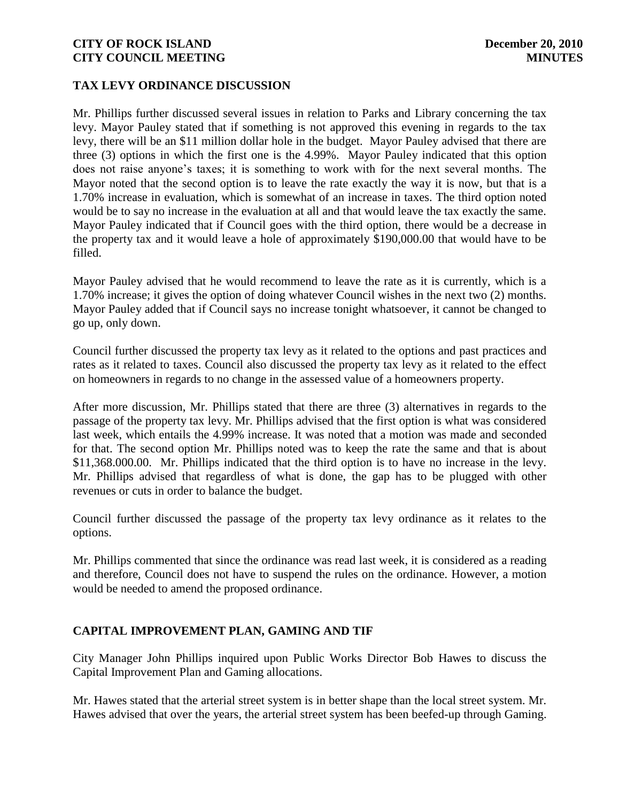## **TAX LEVY ORDINANCE DISCUSSION**

Mr. Phillips further discussed several issues in relation to Parks and Library concerning the tax levy. Mayor Pauley stated that if something is not approved this evening in regards to the tax levy, there will be an \$11 million dollar hole in the budget. Mayor Pauley advised that there are three (3) options in which the first one is the 4.99%. Mayor Pauley indicated that this option does not raise anyone's taxes; it is something to work with for the next several months. The Mayor noted that the second option is to leave the rate exactly the way it is now, but that is a 1.70% increase in evaluation, which is somewhat of an increase in taxes. The third option noted would be to say no increase in the evaluation at all and that would leave the tax exactly the same. Mayor Pauley indicated that if Council goes with the third option, there would be a decrease in the property tax and it would leave a hole of approximately \$190,000.00 that would have to be filled.

Mayor Pauley advised that he would recommend to leave the rate as it is currently, which is a 1.70% increase; it gives the option of doing whatever Council wishes in the next two (2) months. Mayor Pauley added that if Council says no increase tonight whatsoever, it cannot be changed to go up, only down.

Council further discussed the property tax levy as it related to the options and past practices and rates as it related to taxes. Council also discussed the property tax levy as it related to the effect on homeowners in regards to no change in the assessed value of a homeowners property.

After more discussion, Mr. Phillips stated that there are three (3) alternatives in regards to the passage of the property tax levy. Mr. Phillips advised that the first option is what was considered last week, which entails the 4.99% increase. It was noted that a motion was made and seconded for that. The second option Mr. Phillips noted was to keep the rate the same and that is about \$11,368.000.00. Mr. Phillips indicated that the third option is to have no increase in the levy. Mr. Phillips advised that regardless of what is done, the gap has to be plugged with other revenues or cuts in order to balance the budget.

Council further discussed the passage of the property tax levy ordinance as it relates to the options.

Mr. Phillips commented that since the ordinance was read last week, it is considered as a reading and therefore, Council does not have to suspend the rules on the ordinance. However, a motion would be needed to amend the proposed ordinance.

# **CAPITAL IMPROVEMENT PLAN, GAMING AND TIF**

City Manager John Phillips inquired upon Public Works Director Bob Hawes to discuss the Capital Improvement Plan and Gaming allocations.

Mr. Hawes stated that the arterial street system is in better shape than the local street system. Mr. Hawes advised that over the years, the arterial street system has been beefed-up through Gaming.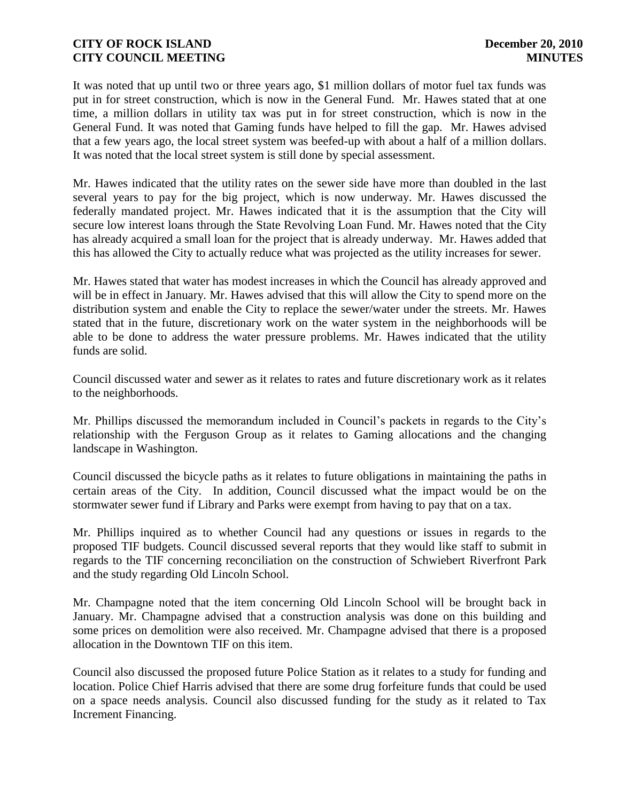It was noted that up until two or three years ago, \$1 million dollars of motor fuel tax funds was put in for street construction, which is now in the General Fund. Mr. Hawes stated that at one time, a million dollars in utility tax was put in for street construction, which is now in the General Fund. It was noted that Gaming funds have helped to fill the gap. Mr. Hawes advised that a few years ago, the local street system was beefed-up with about a half of a million dollars. It was noted that the local street system is still done by special assessment.

Mr. Hawes indicated that the utility rates on the sewer side have more than doubled in the last several years to pay for the big project, which is now underway. Mr. Hawes discussed the federally mandated project. Mr. Hawes indicated that it is the assumption that the City will secure low interest loans through the State Revolving Loan Fund. Mr. Hawes noted that the City has already acquired a small loan for the project that is already underway. Mr. Hawes added that this has allowed the City to actually reduce what was projected as the utility increases for sewer.

Mr. Hawes stated that water has modest increases in which the Council has already approved and will be in effect in January. Mr. Hawes advised that this will allow the City to spend more on the distribution system and enable the City to replace the sewer/water under the streets. Mr. Hawes stated that in the future, discretionary work on the water system in the neighborhoods will be able to be done to address the water pressure problems. Mr. Hawes indicated that the utility funds are solid.

Council discussed water and sewer as it relates to rates and future discretionary work as it relates to the neighborhoods.

Mr. Phillips discussed the memorandum included in Council's packets in regards to the City's relationship with the Ferguson Group as it relates to Gaming allocations and the changing landscape in Washington.

Council discussed the bicycle paths as it relates to future obligations in maintaining the paths in certain areas of the City. In addition, Council discussed what the impact would be on the stormwater sewer fund if Library and Parks were exempt from having to pay that on a tax.

Mr. Phillips inquired as to whether Council had any questions or issues in regards to the proposed TIF budgets. Council discussed several reports that they would like staff to submit in regards to the TIF concerning reconciliation on the construction of Schwiebert Riverfront Park and the study regarding Old Lincoln School.

Mr. Champagne noted that the item concerning Old Lincoln School will be brought back in January. Mr. Champagne advised that a construction analysis was done on this building and some prices on demolition were also received. Mr. Champagne advised that there is a proposed allocation in the Downtown TIF on this item.

Council also discussed the proposed future Police Station as it relates to a study for funding and location. Police Chief Harris advised that there are some drug forfeiture funds that could be used on a space needs analysis. Council also discussed funding for the study as it related to Tax Increment Financing.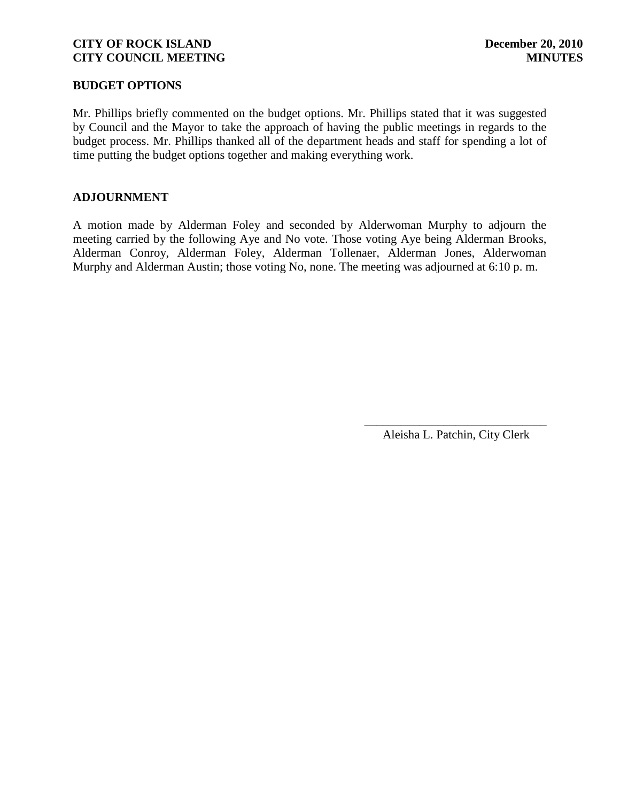## **BUDGET OPTIONS**

Mr. Phillips briefly commented on the budget options. Mr. Phillips stated that it was suggested by Council and the Mayor to take the approach of having the public meetings in regards to the budget process. Mr. Phillips thanked all of the department heads and staff for spending a lot of time putting the budget options together and making everything work.

# **ADJOURNMENT**

A motion made by Alderman Foley and seconded by Alderwoman Murphy to adjourn the meeting carried by the following Aye and No vote. Those voting Aye being Alderman Brooks, Alderman Conroy, Alderman Foley, Alderman Tollenaer, Alderman Jones, Alderwoman Murphy and Alderman Austin; those voting No, none. The meeting was adjourned at 6:10 p. m.

> \_\_\_\_\_\_\_\_\_\_\_\_\_\_\_\_\_\_\_\_\_\_\_\_\_\_\_\_\_\_ Aleisha L. Patchin, City Clerk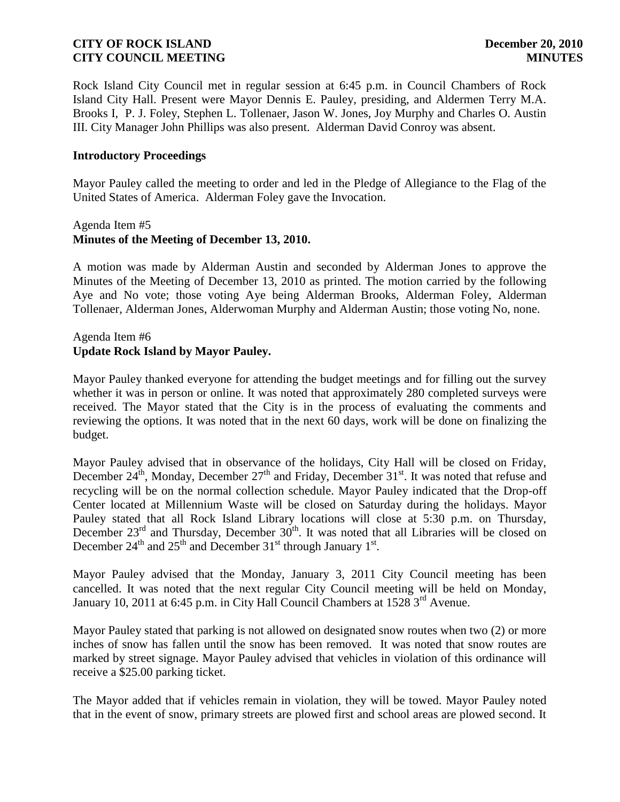Rock Island City Council met in regular session at 6:45 p.m. in Council Chambers of Rock Island City Hall. Present were Mayor Dennis E. Pauley, presiding, and Aldermen Terry M.A. Brooks I, P. J. Foley, Stephen L. Tollenaer, Jason W. Jones, Joy Murphy and Charles O. Austin III. City Manager John Phillips was also present. Alderman David Conroy was absent.

## **Introductory Proceedings**

Mayor Pauley called the meeting to order and led in the Pledge of Allegiance to the Flag of the United States of America. Alderman Foley gave the Invocation.

## Agenda Item #5 **Minutes of the Meeting of December 13, 2010.**

A motion was made by Alderman Austin and seconded by Alderman Jones to approve the Minutes of the Meeting of December 13, 2010 as printed. The motion carried by the following Aye and No vote; those voting Aye being Alderman Brooks, Alderman Foley, Alderman Tollenaer, Alderman Jones, Alderwoman Murphy and Alderman Austin; those voting No, none.

# Agenda Item #6 **Update Rock Island by Mayor Pauley.**

Mayor Pauley thanked everyone for attending the budget meetings and for filling out the survey whether it was in person or online. It was noted that approximately 280 completed surveys were received. The Mayor stated that the City is in the process of evaluating the comments and reviewing the options. It was noted that in the next 60 days, work will be done on finalizing the budget.

Mayor Pauley advised that in observance of the holidays, City Hall will be closed on Friday, December  $24^{th}$ , Monday, December  $27^{th}$  and Friday, December  $31^{st}$ . It was noted that refuse and recycling will be on the normal collection schedule. Mayor Pauley indicated that the Drop-off Center located at Millennium Waste will be closed on Saturday during the holidays. Mayor Pauley stated that all Rock Island Library locations will close at 5:30 p.m. on Thursday, December  $23^{rd}$  and Thursday, December  $30^{th}$ . It was noted that all Libraries will be closed on December  $24<sup>th</sup>$  and  $25<sup>th</sup>$  and December  $31<sup>st</sup>$  through January  $1<sup>st</sup>$ .

Mayor Pauley advised that the Monday, January 3, 2011 City Council meeting has been cancelled. It was noted that the next regular City Council meeting will be held on Monday, January 10, 2011 at 6:45 p.m. in City Hall Council Chambers at  $1528 \, 3^{\text{rd}}$  Avenue.

Mayor Pauley stated that parking is not allowed on designated snow routes when two (2) or more inches of snow has fallen until the snow has been removed. It was noted that snow routes are marked by street signage. Mayor Pauley advised that vehicles in violation of this ordinance will receive a \$25.00 parking ticket.

The Mayor added that if vehicles remain in violation, they will be towed. Mayor Pauley noted that in the event of snow, primary streets are plowed first and school areas are plowed second. It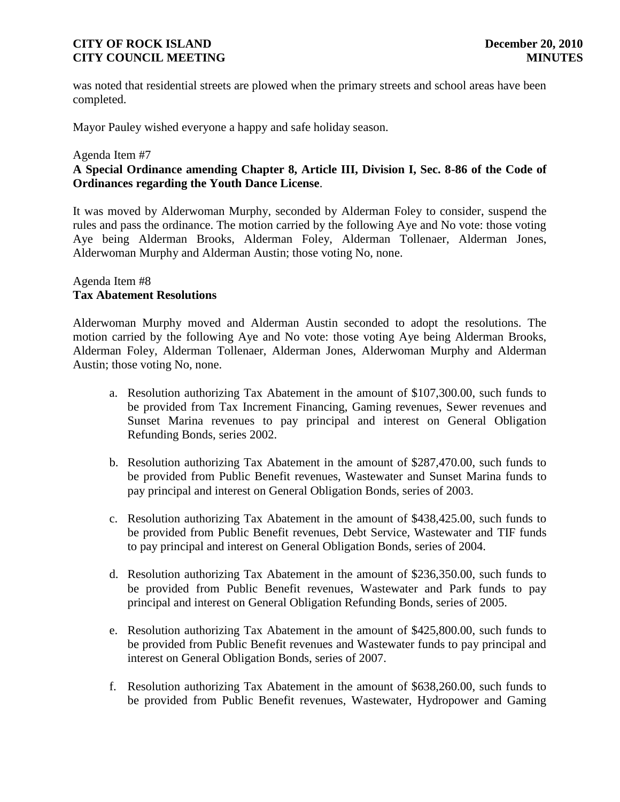was noted that residential streets are plowed when the primary streets and school areas have been completed.

Mayor Pauley wished everyone a happy and safe holiday season.

#### Agenda Item #7

# **A Special Ordinance amending Chapter 8, Article III, Division I, Sec. 8-86 of the Code of Ordinances regarding the Youth Dance License**.

It was moved by Alderwoman Murphy, seconded by Alderman Foley to consider, suspend the rules and pass the ordinance. The motion carried by the following Aye and No vote: those voting Aye being Alderman Brooks, Alderman Foley, Alderman Tollenaer, Alderman Jones, Alderwoman Murphy and Alderman Austin; those voting No, none.

## Agenda Item #8 **Tax Abatement Resolutions**

Alderwoman Murphy moved and Alderman Austin seconded to adopt the resolutions. The motion carried by the following Aye and No vote: those voting Aye being Alderman Brooks, Alderman Foley, Alderman Tollenaer, Alderman Jones, Alderwoman Murphy and Alderman Austin; those voting No, none.

- a. Resolution authorizing Tax Abatement in the amount of \$107,300.00, such funds to be provided from Tax Increment Financing, Gaming revenues, Sewer revenues and Sunset Marina revenues to pay principal and interest on General Obligation Refunding Bonds, series 2002.
- b. Resolution authorizing Tax Abatement in the amount of \$287,470.00, such funds to be provided from Public Benefit revenues, Wastewater and Sunset Marina funds to pay principal and interest on General Obligation Bonds, series of 2003.
- c. Resolution authorizing Tax Abatement in the amount of \$438,425.00, such funds to be provided from Public Benefit revenues, Debt Service, Wastewater and TIF funds to pay principal and interest on General Obligation Bonds, series of 2004.
- d. Resolution authorizing Tax Abatement in the amount of \$236,350.00, such funds to be provided from Public Benefit revenues, Wastewater and Park funds to pay principal and interest on General Obligation Refunding Bonds, series of 2005.
- e. Resolution authorizing Tax Abatement in the amount of \$425,800.00, such funds to be provided from Public Benefit revenues and Wastewater funds to pay principal and interest on General Obligation Bonds, series of 2007.
- f. Resolution authorizing Tax Abatement in the amount of \$638,260.00, such funds to be provided from Public Benefit revenues, Wastewater, Hydropower and Gaming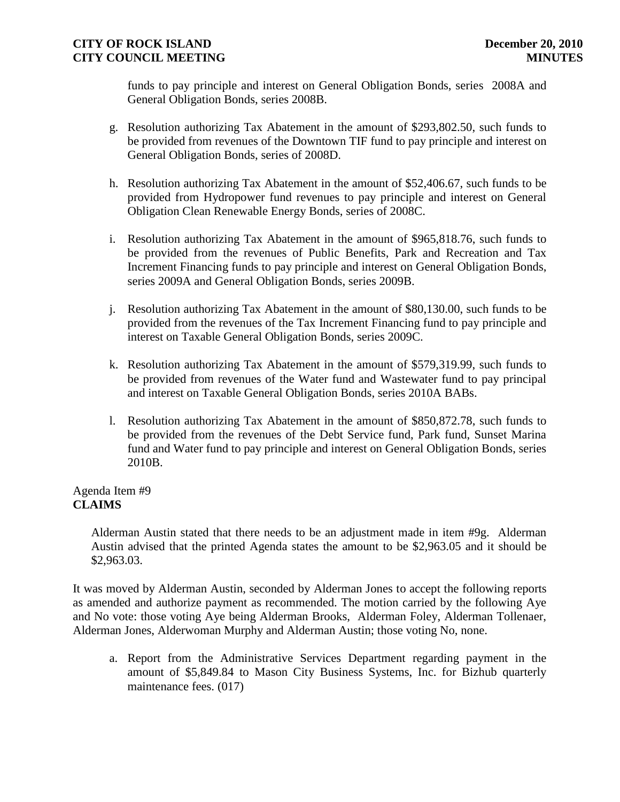funds to pay principle and interest on General Obligation Bonds, series 2008A and General Obligation Bonds, series 2008B.

- g. Resolution authorizing Tax Abatement in the amount of \$293,802.50, such funds to be provided from revenues of the Downtown TIF fund to pay principle and interest on General Obligation Bonds, series of 2008D.
- h. Resolution authorizing Tax Abatement in the amount of \$52,406.67, such funds to be provided from Hydropower fund revenues to pay principle and interest on General Obligation Clean Renewable Energy Bonds, series of 2008C.
- i. Resolution authorizing Tax Abatement in the amount of \$965,818.76, such funds to be provided from the revenues of Public Benefits, Park and Recreation and Tax Increment Financing funds to pay principle and interest on General Obligation Bonds, series 2009A and General Obligation Bonds, series 2009B.
- j. Resolution authorizing Tax Abatement in the amount of \$80,130.00, such funds to be provided from the revenues of the Tax Increment Financing fund to pay principle and interest on Taxable General Obligation Bonds, series 2009C.
- k. Resolution authorizing Tax Abatement in the amount of \$579,319.99, such funds to be provided from revenues of the Water fund and Wastewater fund to pay principal and interest on Taxable General Obligation Bonds, series 2010A BABs.
- l. Resolution authorizing Tax Abatement in the amount of \$850,872.78, such funds to be provided from the revenues of the Debt Service fund, Park fund, Sunset Marina fund and Water fund to pay principle and interest on General Obligation Bonds, series 2010B.

Agenda Item #9 **CLAIMS**

> Alderman Austin stated that there needs to be an adjustment made in item #9g. Alderman Austin advised that the printed Agenda states the amount to be \$2,963.05 and it should be \$2,963.03.

It was moved by Alderman Austin, seconded by Alderman Jones to accept the following reports as amended and authorize payment as recommended. The motion carried by the following Aye and No vote: those voting Aye being Alderman Brooks, Alderman Foley, Alderman Tollenaer, Alderman Jones, Alderwoman Murphy and Alderman Austin; those voting No, none.

a. Report from the Administrative Services Department regarding payment in the amount of \$5,849.84 to Mason City Business Systems, Inc. for Bizhub quarterly maintenance fees. (017)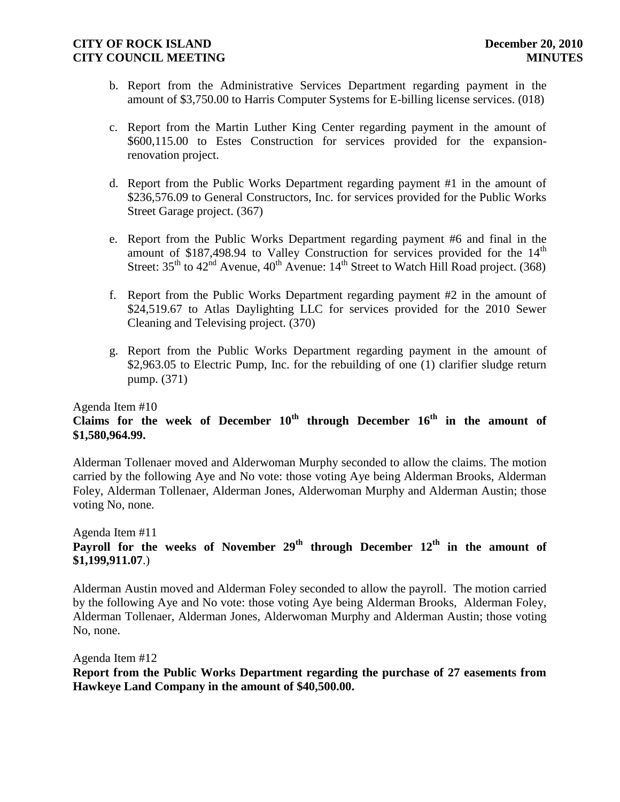- b. Report from the Administrative Services Department regarding payment in the amount of \$3,750.00 to Harris Computer Systems for E-billing license services. (018)
- c. Report from the Martin Luther King Center regarding payment in the amount of \$600,115.00 to Estes Construction for services provided for the expansionrenovation project.
- d. Report from the Public Works Department regarding payment #1 in the amount of \$236,576.09 to General Constructors, Inc. for services provided for the Public Works Street Garage project. (367)
- e. Report from the Public Works Department regarding payment #6 and final in the amount of \$187,498.94 to Valley Construction for services provided for the  $14<sup>th</sup>$ Street:  $35<sup>th</sup>$  to  $42<sup>nd</sup>$  Avenue,  $40<sup>th</sup>$  Avenue:  $14<sup>th</sup>$  Street to Watch Hill Road project. (368)
- f. Report from the Public Works Department regarding payment #2 in the amount of \$24,519.67 to Atlas Daylighting LLC for services provided for the 2010 Sewer Cleaning and Televising project. (370)
- g. Report from the Public Works Department regarding payment in the amount of \$2,963.05 to Electric Pump, Inc. for the rebuilding of one (1) clarifier sludge return pump. (371)

## Agenda Item #10 **Claims for the week of December 10th through December 16th in the amount of \$1,580,964.99.**

Alderman Tollenaer moved and Alderwoman Murphy seconded to allow the claims. The motion carried by the following Aye and No vote: those voting Aye being Alderman Brooks, Alderman Foley, Alderman Tollenaer, Alderman Jones, Alderwoman Murphy and Alderman Austin; those voting No, none.

## Agenda Item #11 Payroll for the weeks of November 29<sup>th</sup> through December 12<sup>th</sup> in the amount of **\$1,199,911.07**.)

Alderman Austin moved and Alderman Foley seconded to allow the payroll. The motion carried by the following Aye and No vote: those voting Aye being Alderman Brooks, Alderman Foley, Alderman Tollenaer, Alderman Jones, Alderwoman Murphy and Alderman Austin; those voting No, none.

Agenda Item #12

**Report from the Public Works Department regarding the purchase of 27 easements from Hawkeye Land Company in the amount of \$40,500.00.**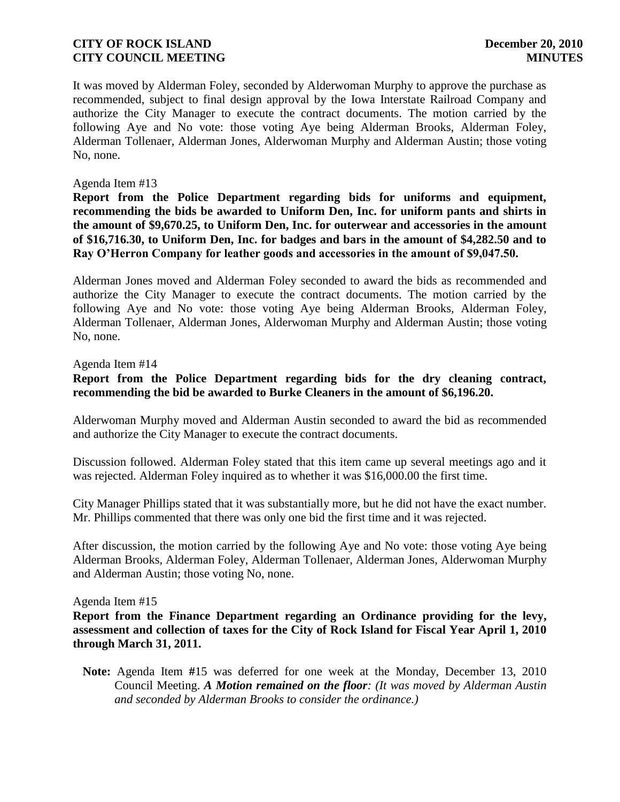It was moved by Alderman Foley, seconded by Alderwoman Murphy to approve the purchase as recommended, subject to final design approval by the Iowa Interstate Railroad Company and authorize the City Manager to execute the contract documents. The motion carried by the following Aye and No vote: those voting Aye being Alderman Brooks, Alderman Foley, Alderman Tollenaer, Alderman Jones, Alderwoman Murphy and Alderman Austin; those voting No, none.

## Agenda Item #13

**Report from the Police Department regarding bids for uniforms and equipment, recommending the bids be awarded to Uniform Den, Inc. for uniform pants and shirts in the amount of \$9,670.25, to Uniform Den, Inc. for outerwear and accessories in the amount of \$16,716.30, to Uniform Den, Inc. for badges and bars in the amount of \$4,282.50 and to Ray O'Herron Company for leather goods and accessories in the amount of \$9,047.50.**

Alderman Jones moved and Alderman Foley seconded to award the bids as recommended and authorize the City Manager to execute the contract documents. The motion carried by the following Aye and No vote: those voting Aye being Alderman Brooks, Alderman Foley, Alderman Tollenaer, Alderman Jones, Alderwoman Murphy and Alderman Austin; those voting No, none.

#### Agenda Item #14

**Report from the Police Department regarding bids for the dry cleaning contract, recommending the bid be awarded to Burke Cleaners in the amount of \$6,196.20.**

Alderwoman Murphy moved and Alderman Austin seconded to award the bid as recommended and authorize the City Manager to execute the contract documents.

Discussion followed. Alderman Foley stated that this item came up several meetings ago and it was rejected. Alderman Foley inquired as to whether it was \$16,000.00 the first time.

City Manager Phillips stated that it was substantially more, but he did not have the exact number. Mr. Phillips commented that there was only one bid the first time and it was rejected.

After discussion, the motion carried by the following Aye and No vote: those voting Aye being Alderman Brooks, Alderman Foley, Alderman Tollenaer, Alderman Jones, Alderwoman Murphy and Alderman Austin; those voting No, none.

#### Agenda Item #15

**Report from the Finance Department regarding an Ordinance providing for the levy, assessment and collection of taxes for the City of Rock Island for Fiscal Year April 1, 2010 through March 31, 2011.**

**Note:** Agenda Item **#**15 was deferred for one week at the Monday, December 13, 2010 Council Meeting. *A Motion remained on the floor: (It was moved by Alderman Austin and seconded by Alderman Brooks to consider the ordinance.)*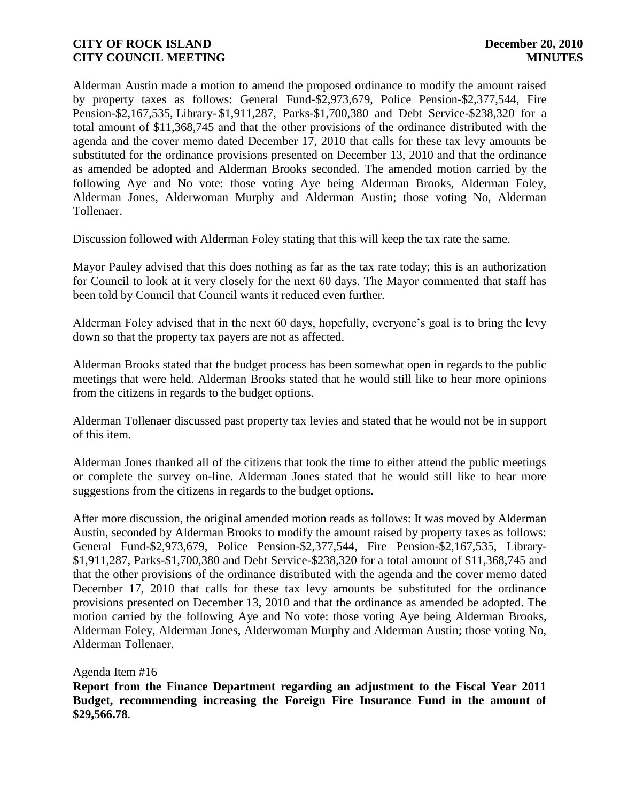Alderman Austin made a motion to amend the proposed ordinance to modify the amount raised by property taxes as follows: General Fund-\$2,973,679, Police Pension-\$2,377,544, Fire Pension-\$2,167,535, Library- \$1,911,287, Parks-\$1,700,380 and Debt Service-\$238,320 for a total amount of \$11,368,745 and that the other provisions of the ordinance distributed with the agenda and the cover memo dated December 17, 2010 that calls for these tax levy amounts be substituted for the ordinance provisions presented on December 13, 2010 and that the ordinance as amended be adopted and Alderman Brooks seconded. The amended motion carried by the following Aye and No vote: those voting Aye being Alderman Brooks, Alderman Foley, Alderman Jones, Alderwoman Murphy and Alderman Austin; those voting No, Alderman Tollenaer.

Discussion followed with Alderman Foley stating that this will keep the tax rate the same.

Mayor Pauley advised that this does nothing as far as the tax rate today; this is an authorization for Council to look at it very closely for the next 60 days. The Mayor commented that staff has been told by Council that Council wants it reduced even further.

Alderman Foley advised that in the next 60 days, hopefully, everyone's goal is to bring the levy down so that the property tax payers are not as affected.

Alderman Brooks stated that the budget process has been somewhat open in regards to the public meetings that were held. Alderman Brooks stated that he would still like to hear more opinions from the citizens in regards to the budget options.

Alderman Tollenaer discussed past property tax levies and stated that he would not be in support of this item.

Alderman Jones thanked all of the citizens that took the time to either attend the public meetings or complete the survey on-line. Alderman Jones stated that he would still like to hear more suggestions from the citizens in regards to the budget options.

After more discussion, the original amended motion reads as follows: It was moved by Alderman Austin, seconded by Alderman Brooks to modify the amount raised by property taxes as follows: General Fund-\$2,973,679, Police Pension-\$2,377,544, Fire Pension-\$2,167,535, Library- \$1,911,287, Parks-\$1,700,380 and Debt Service-\$238,320 for a total amount of \$11,368,745 and that the other provisions of the ordinance distributed with the agenda and the cover memo dated December 17, 2010 that calls for these tax levy amounts be substituted for the ordinance provisions presented on December 13, 2010 and that the ordinance as amended be adopted. The motion carried by the following Aye and No vote: those voting Aye being Alderman Brooks, Alderman Foley, Alderman Jones, Alderwoman Murphy and Alderman Austin; those voting No, Alderman Tollenaer.

Agenda Item #16

**Report from the Finance Department regarding an adjustment to the Fiscal Year 2011 Budget, recommending increasing the Foreign Fire Insurance Fund in the amount of \$29,566.78**.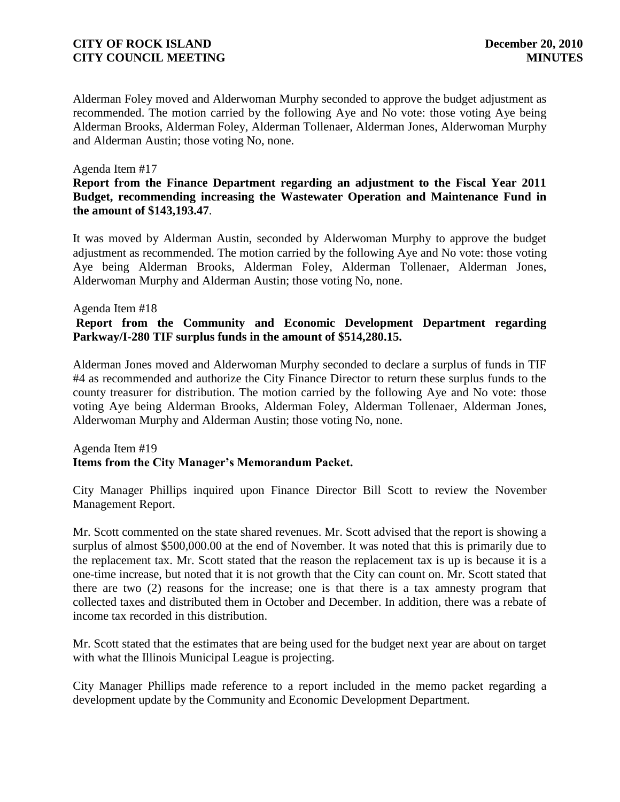Alderman Foley moved and Alderwoman Murphy seconded to approve the budget adjustment as recommended. The motion carried by the following Aye and No vote: those voting Aye being Alderman Brooks, Alderman Foley, Alderman Tollenaer, Alderman Jones, Alderwoman Murphy and Alderman Austin; those voting No, none.

#### Agenda Item #17

## **Report from the Finance Department regarding an adjustment to the Fiscal Year 2011 Budget, recommending increasing the Wastewater Operation and Maintenance Fund in the amount of \$143,193.47**.

It was moved by Alderman Austin, seconded by Alderwoman Murphy to approve the budget adjustment as recommended. The motion carried by the following Aye and No vote: those voting Aye being Alderman Brooks, Alderman Foley, Alderman Tollenaer, Alderman Jones, Alderwoman Murphy and Alderman Austin; those voting No, none.

#### Agenda Item #18

# **Report from the Community and Economic Development Department regarding Parkway/I-280 TIF surplus funds in the amount of \$514,280.15.**

Alderman Jones moved and Alderwoman Murphy seconded to declare a surplus of funds in TIF #4 as recommended and authorize the City Finance Director to return these surplus funds to the county treasurer for distribution. The motion carried by the following Aye and No vote: those voting Aye being Alderman Brooks, Alderman Foley, Alderman Tollenaer, Alderman Jones, Alderwoman Murphy and Alderman Austin; those voting No, none.

## Agenda Item #19 **Items from the City Manager's Memorandum Packet.**

City Manager Phillips inquired upon Finance Director Bill Scott to review the November Management Report.

Mr. Scott commented on the state shared revenues. Mr. Scott advised that the report is showing a surplus of almost \$500,000.00 at the end of November. It was noted that this is primarily due to the replacement tax. Mr. Scott stated that the reason the replacement tax is up is because it is a one-time increase, but noted that it is not growth that the City can count on. Mr. Scott stated that there are two (2) reasons for the increase; one is that there is a tax amnesty program that collected taxes and distributed them in October and December. In addition, there was a rebate of income tax recorded in this distribution.

Mr. Scott stated that the estimates that are being used for the budget next year are about on target with what the Illinois Municipal League is projecting.

City Manager Phillips made reference to a report included in the memo packet regarding a development update by the Community and Economic Development Department.